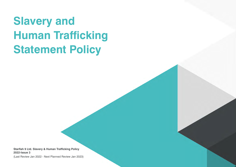# **Slavery and Human Trafficking Statement Policy**

**Starfish 9 Ltd. Slavery & Human Trafficking Policy 2022-Issue 3**

(Last Review Jan 2022 - Next Planned Review Jan 2023)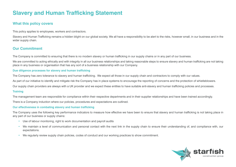# **Slavery and Human Trafficking Statement**

# **What this policy covers**

This policy applies to employees, workers and contractors.

Slavery and Human Trafficking remains a hidden blight on our global society. We all have a responsibility to be alert to the risks, however small, in our business and in the wider supply chain.

# **Our Commitment**

The Company is committed to ensuring that there is no modern slavery or human trafficking in our supply chains or in any part of our business.

We are committed to acting ethically and with integrity in all our business relationships and taking reasonable steps to ensure slavery and human trafficking are not taking place in any business or organisation that has any sort of a business relationship with our Company.

#### **Due diligence processes for slavery and human trafficking**

The Company has zero tolerance to slavery and human trafficking. We expect all those in our supply chain and contractors to comply with our values.

As part of our initiative to identify and mitigate risk the Company has in place systems to encourage the reporting of concerns and the protection of whistleblowers.

Our supply chain providers are always with a UK provider and we expect these entities to have suitable anti-slavery and human trafficking policies and processes.

#### **Training**

The management team are responsible for compliance within their respective departments and in their supplier relationships and have been trained accordingly.

There is a Company induction where our policies, procedures and expectations are outlined.

#### **Our effectiveness in combating slavery and human trafficking**

The Company uses the following key performance indicators to measure how effective we have been to ensure that slavery and human trafficking is not taking place in any part of our business or supply chains:

- Use of labour monitoring, right to work documentation and payroll audits
- We maintain a level of communication and personal contact with the next link in the supply chain to ensure their understanding of, and compliance with, our expectations.
- We regularly review supply chain policies, codes of conduct and our working practices to show commitment.